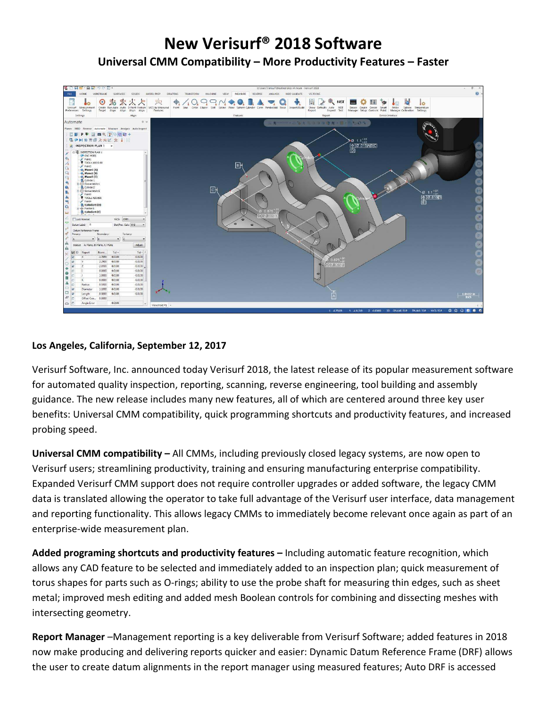## **New Verisurf® 2018 Software Universal CMM Compatibility – More Productivity Features – Faster**



## **Los Angeles, California, September 12, 2017**

Verisurf Software, Inc. announced today Verisurf 2018, the latest release of its popular measurement software for automated quality inspection, reporting, scanning, reverse engineering, tool building and assembly guidance. The new release includes many new features, all of which are centered around three key user benefits: Universal CMM compatibility, quick programming shortcuts and productivity features, and increased probing speed.

**Universal CMM compatibility –** All CMMs, including previously closed legacy systems, are now open to Verisurf users; streamlining productivity, training and ensuring manufacturing enterprise compatibility. Expanded Verisurf CMM support does not require controller upgrades or added software, the legacy CMM data is translated allowing the operator to take full advantage of the Verisurf user interface, data management and reporting functionality. This allows legacy CMMs to immediately become relevant once again as part of an enterprise-wide measurement plan.

**Added programing shortcuts and productivity features –** Including automatic feature recognition, which allows any CAD feature to be selected and immediately added to an inspection plan; quick measurement of torus shapes for parts such as O-rings; ability to use the probe shaft for measuring thin edges, such as sheet metal; improved mesh editing and added mesh Boolean controls for combining and dissecting meshes with intersecting geometry.

**Report Manager** –Management reporting is a key deliverable from Verisurf Software; added features in 2018 now make producing and delivering reports quicker and easier: Dynamic Datum Reference Frame (DRF) allows the user to create datum alignments in the report manager using measured features; Auto DRF is accessed